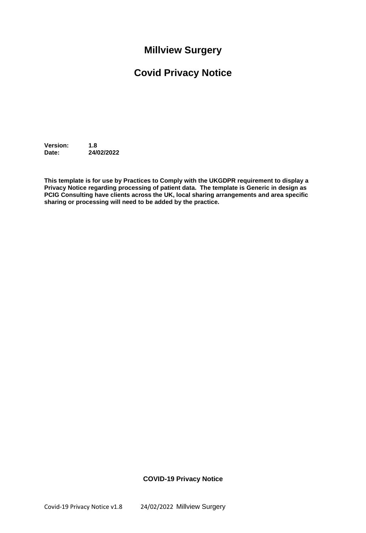# **Millview Surgery**

# **Covid Privacy Notice**

**Version: 1.8 Date: 24/02/2022**

**This template is for use by Practices to Comply with the UKGDPR requirement to display a Privacy Notice regarding processing of patient data. The template is Generic in design as PCIG Consulting have clients across the UK, local sharing arrangements and area specific sharing or processing will need to be added by the practice.**

#### **COVID-19 Privacy Notice**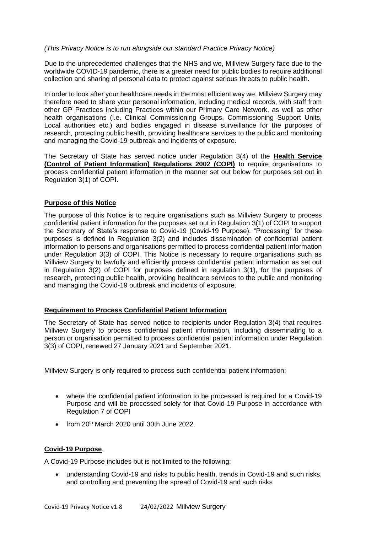#### *(This Privacy Notice is to run alongside our standard Practice Privacy Notice)*

Due to the unprecedented challenges that the NHS and we, Millview Surgery face due to the worldwide COVID-19 pandemic, there is a greater need for public bodies to require additional collection and sharing of personal data to protect against serious threats to public health.

In order to look after your healthcare needs in the most efficient way we, Millview Surgery may therefore need to share your personal information, including medical records, with staff from other GP Practices including Practices within our Primary Care Network, as well as other health organisations (i.e. Clinical Commissioning Groups, Commissioning Support Units, Local authorities etc.) and bodies engaged in disease surveillance for the purposes of research, protecting public health, providing healthcare services to the public and monitoring and managing the Covid-19 outbreak and incidents of exposure.

The Secretary of State has served notice under Regulation 3(4) of the **Health Service (Control of Patient Information) Regulations 2002 (COPI)** to require organisations to process confidential patient information in the manner set out below for purposes set out in Regulation 3(1) of COPI.

## **Purpose of this Notice**

The purpose of this Notice is to require organisations such as Millview Surgery to process confidential patient information for the purposes set out in Regulation 3(1) of COPI to support the Secretary of State's response to Covid-19 (Covid-19 Purpose). "Processing" for these purposes is defined in Regulation 3(2) and includes dissemination of confidential patient information to persons and organisations permitted to process confidential patient information under Regulation 3(3) of COPI. This Notice is necessary to require organisations such as Millview Surgery to lawfully and efficiently process confidential patient information as set out in Regulation 3(2) of COPI for purposes defined in regulation 3(1), for the purposes of research, protecting public health, providing healthcare services to the public and monitoring and managing the Covid-19 outbreak and incidents of exposure.

#### **Requirement to Process Confidential Patient Information**

The Secretary of State has served notice to recipients under Regulation 3(4) that requires Millview Surgery to process confidential patient information, including disseminating to a person or organisation permitted to process confidential patient information under Regulation 3(3) of COPI, renewed 27 January 2021 and September 2021.

Millview Surgery is only required to process such confidential patient information:

- where the confidential patient information to be processed is required for a Covid-19 Purpose and will be processed solely for that Covid-19 Purpose in accordance with Regulation 7 of COPI
- from  $20<sup>th</sup>$  March 2020 until 30th June 2022.

## **Covid-19 Purpose**.

A Covid-19 Purpose includes but is not limited to the following:

• understanding Covid-19 and risks to public health, trends in Covid-19 and such risks, and controlling and preventing the spread of Covid-19 and such risks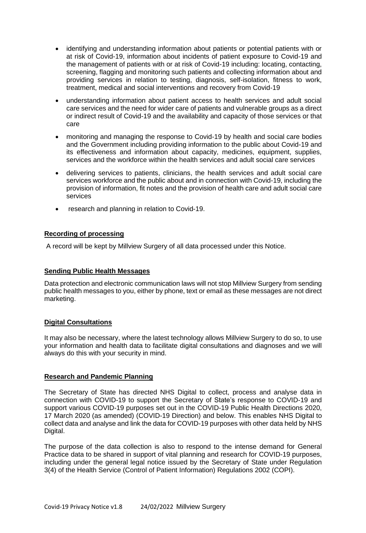- identifying and understanding information about patients or potential patients with or at risk of Covid-19, information about incidents of patient exposure to Covid-19 and the management of patients with or at risk of Covid-19 including: locating, contacting, screening, flagging and monitoring such patients and collecting information about and providing services in relation to testing, diagnosis, self-isolation, fitness to work, treatment, medical and social interventions and recovery from Covid-19
- understanding information about patient access to health services and adult social care services and the need for wider care of patients and vulnerable groups as a direct or indirect result of Covid-19 and the availability and capacity of those services or that care
- monitoring and managing the response to Covid-19 by health and social care bodies and the Government including providing information to the public about Covid-19 and its effectiveness and information about capacity, medicines, equipment, supplies, services and the workforce within the health services and adult social care services
- delivering services to patients, clinicians, the health services and adult social care services workforce and the public about and in connection with Covid-19, including the provision of information, fit notes and the provision of health care and adult social care services
- research and planning in relation to Covid-19.

# **Recording of processing**

A record will be kept by Millview Surgery of all data processed under this Notice.

## **Sending Public Health Messages**

Data protection and electronic communication laws will not stop Millview Surgery from sending public health messages to you, either by phone, text or email as these messages are not direct marketing.

## **Digital Consultations**

It may also be necessary, where the latest technology allows Millview Surgery to do so, to use your information and health data to facilitate digital consultations and diagnoses and we will always do this with your security in mind.

## **Research and Pandemic Planning**

The Secretary of State has directed NHS Digital to collect, process and analyse data in connection with COVID-19 to support the Secretary of State's response to COVID-19 and support various COVID-19 purposes set out in the COVID-19 Public Health Directions 2020, 17 March 2020 (as amended) (COVID-19 Direction) and below. This enables NHS Digital to collect data and analyse and link the data for COVID-19 purposes with other data held by NHS Digital.

The purpose of the data collection is also to respond to the intense demand for General Practice data to be shared in support of vital planning and research for COVID-19 purposes, including under the general legal notice issued by the Secretary of State under Regulation 3(4) of the Health Service (Control of Patient Information) Regulations 2002 (COPI).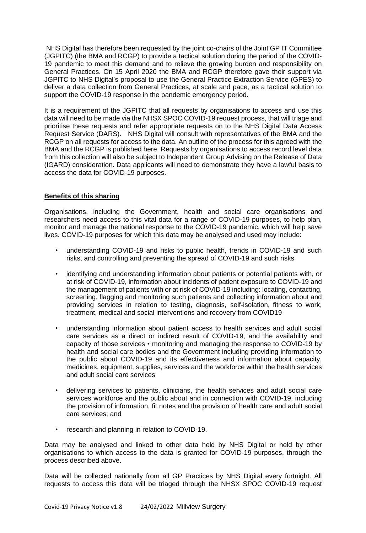NHS Digital has therefore been requested by the joint co-chairs of the Joint GP IT Committee (JGPITC) (the BMA and RCGP) to provide a tactical solution during the period of the COVID-19 pandemic to meet this demand and to relieve the growing burden and responsibility on General Practices. On 15 April 2020 the BMA and RCGP therefore gave their support via JGPITC to NHS Digital's proposal to use the General Practice Extraction Service (GPES) to deliver a data collection from General Practices, at scale and pace, as a tactical solution to support the COVID-19 response in the pandemic emergency period.

It is a requirement of the JGPITC that all requests by organisations to access and use this data will need to be made via the NHSX SPOC COVID-19 request process, that will triage and prioritise these requests and refer appropriate requests on to the NHS Digital Data Access Request Service (DARS). NHS Digital will consult with representatives of the BMA and the RCGP on all requests for access to the data. An outline of the process for this agreed with the BMA and the RCGP is published here. Requests by organisations to access record level data from this collection will also be subject to Independent Group Advising on the Release of Data (IGARD) consideration. Data applicants will need to demonstrate they have a lawful basis to access the data for COVID-19 purposes.

# **Benefits of this sharing**

Organisations, including the Government, health and social care organisations and researchers need access to this vital data for a range of COVID-19 purposes, to help plan, monitor and manage the national response to the COVID-19 pandemic, which will help save lives. COVID-19 purposes for which this data may be analysed and used may include:

- understanding COVID-19 and risks to public health, trends in COVID-19 and such risks, and controlling and preventing the spread of COVID-19 and such risks
- identifying and understanding information about patients or potential patients with, or at risk of COVID-19, information about incidents of patient exposure to COVID-19 and the management of patients with or at risk of COVID-19 including: locating, contacting, screening, flagging and monitoring such patients and collecting information about and providing services in relation to testing, diagnosis, self-isolation, fitness to work, treatment, medical and social interventions and recovery from COVID19
- understanding information about patient access to health services and adult social care services as a direct or indirect result of COVID-19, and the availability and capacity of those services • monitoring and managing the response to COVID-19 by health and social care bodies and the Government including providing information to the public about COVID-19 and its effectiveness and information about capacity, medicines, equipment, supplies, services and the workforce within the health services and adult social care services
- delivering services to patients, clinicians, the health services and adult social care services workforce and the public about and in connection with COVID-19, including the provision of information, fit notes and the provision of health care and adult social care services; and
- research and planning in relation to COVID-19.

Data may be analysed and linked to other data held by NHS Digital or held by other organisations to which access to the data is granted for COVID-19 purposes, through the process described above.

Data will be collected nationally from all GP Practices by NHS Digital every fortnight. All requests to access this data will be triaged through the NHSX SPOC COVID-19 request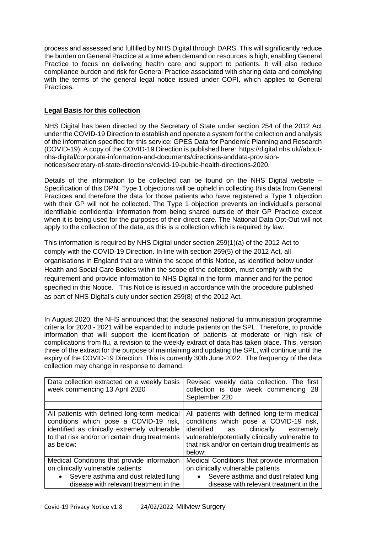process and assessed and fulfilled by NHS Digital through DARS. This will significantly reduce the burden on General Practice at a time when demand on resources is high, enabling General Practice to focus on delivering health care and support to patients. It will also reduce compliance burden and risk for General Practice associated with sharing data and complying with the terms of the general legal notice issued under COPI, which applies to General Practices.

# **Legal Basis for this collection**

NHS Digital has been directed by the Secretary of State under section 254 of the 2012 Act under the COVID-19 Direction to establish and operate a system for the collection and analysis of the information specified for this service: GPES Data for Pandemic Planning and Research (COVID-19). A copy of the COVID-19 Direction is published here: https://digital.nhs.uk//aboutnhs-digital/corporate-information-and-documents/directions-anddata-provisionnotices/secretary-of-state-directions/covid-19-public-health-directions-2020.

Details of the information to be collected can be found on the NHS Digital website – Specification of this DPN. Type 1 objections will be upheld in collecting this data from General Practices and therefore the data for those patients who have registered a Type 1 objection with their GP will not be collected. The Type 1 objection prevents an individual's personal identifiable confidential information from being shared outside of their GP Practice except when it is being used for the purposes of their direct care. The National Data Opt-Out will not apply to the collection of the data, as this is a collection which is required by law.

This information is required by NHS Digital under section 259(1)(a) of the 2012 Act to comply with the COVID-19 Direction. In line with section 259(5) of the 2012 Act, all organisations in England that are within the scope of this Notice, as identified below under Health and Social Care Bodies within the scope of the collection, must comply with the requirement and provide information to NHS Digital in the form, manner and for the period specified in this Notice. This Notice is issued in accordance with the procedure published as part of NHS Digital's duty under section 259(8) of the 2012 Act.

In August 2020, the NHS announced that the seasonal national flu immunisation programme criteria for 2020 - 2021 will be expanded to include patients on the SPL. Therefore, to provide information that will support the identification of patients at moderate or high risk of complications from flu, a revision to the weekly extract of data has taken place. This, version three of the extract for the purpose of maintaining and updating the SPL, will continue until the expiry of the COVID-19 Direction. This is currently 30th June 2022. The frequency of the data collection may change in response to demand.

| Data collection extracted on a weekly basis<br>week commencing 13 April 2020                                                                                                                          | Revised weekly data collection. The first<br>collection is due week commencing 28<br>September 220                                                                                                                                            |
|-------------------------------------------------------------------------------------------------------------------------------------------------------------------------------------------------------|-----------------------------------------------------------------------------------------------------------------------------------------------------------------------------------------------------------------------------------------------|
|                                                                                                                                                                                                       |                                                                                                                                                                                                                                               |
| All patients with defined long-term medical<br>conditions which pose a COVID-19 risk,<br>identified as clinically extremely vulnerable<br>to that risk and/or on certain drug treatments<br>as below: | All patients with defined long-term medical<br>conditions which pose a COVID-19 risk,<br>identified as clinically<br>extremely<br>vulnerable/potentially clinically vulnerable to<br>that risk and/or on certain drug treatments as<br>below: |
| Medical Conditions that provide information                                                                                                                                                           | Medical Conditions that provide information                                                                                                                                                                                                   |
| on clinically vulnerable patients                                                                                                                                                                     | on clinically vulnerable patients                                                                                                                                                                                                             |
| • Severe asthma and dust related lung                                                                                                                                                                 | Severe asthma and dust related lung<br>$\bullet$                                                                                                                                                                                              |
| disease with relevant treatment in the                                                                                                                                                                | disease with relevant treatment in the                                                                                                                                                                                                        |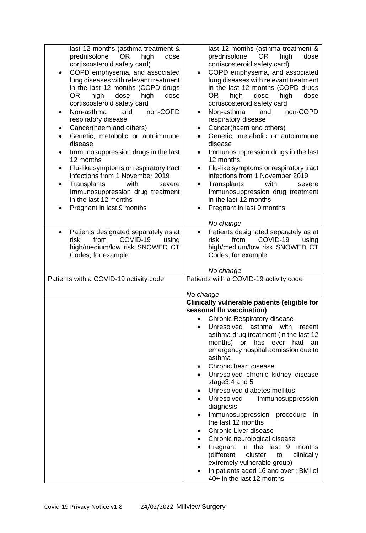| last 12 months (asthma treatment &<br><b>OR</b><br>prednisolone<br>high<br>dose<br>cortiscosteroid safety card)<br>COPD emphysema, and associated<br>٠<br>lung diseases with relevant treatment<br>in the last 12 months (COPD drugs<br>OR.<br>high<br>dose<br>high<br>dose<br>cortiscosteroid safety card<br>Non-asthma<br>non-COPD<br>and<br>respiratory disease<br>Cancer(haem and others)<br>٠<br>Genetic, metabolic or autoimmune<br>$\bullet$<br>disease<br>Immunosuppression drugs in the last<br>12 months<br>Flu-like symptoms or respiratory tract<br>٠<br>infections from 1 November 2019<br>Transplants<br>with<br>severe<br>$\bullet$<br>Immunosuppression drug treatment<br>in the last 12 months<br>Pregnant in last 9 months<br>Patients designated separately as at<br>$\bullet$<br>from<br>COVID-19<br>risk<br>using<br>high/medium/low risk SNOWED CT<br>Codes, for example | last 12 months (asthma treatment &<br><b>OR</b><br>prednisolone<br>high<br>dose<br>cortiscosteroid safety card)<br>COPD emphysema, and associated<br>$\bullet$<br>lung diseases with relevant treatment<br>in the last 12 months (COPD drugs<br><b>OR</b><br>high<br>dose<br>high<br>dose<br>cortiscosteroid safety card<br>Non-asthma<br>non-COPD<br>and<br>$\bullet$<br>respiratory disease<br>Cancer(haem and others)<br>$\bullet$<br>Genetic, metabolic or autoimmune<br>$\bullet$<br>disease<br>Immunosuppression drugs in the last<br>$\bullet$<br>12 months<br>Flu-like symptoms or respiratory tract<br>$\bullet$<br>infections from 1 November 2019<br>Transplants<br>with<br>severe<br>$\bullet$<br>Immunosuppression drug treatment<br>in the last 12 months<br>Pregnant in last 9 months<br>No change<br>Patients designated separately as at<br>$\bullet$<br>COVID-19<br>from<br>risk<br>using<br>high/medium/low risk SNOWED CT<br>Codes, for example |
|------------------------------------------------------------------------------------------------------------------------------------------------------------------------------------------------------------------------------------------------------------------------------------------------------------------------------------------------------------------------------------------------------------------------------------------------------------------------------------------------------------------------------------------------------------------------------------------------------------------------------------------------------------------------------------------------------------------------------------------------------------------------------------------------------------------------------------------------------------------------------------------------|---------------------------------------------------------------------------------------------------------------------------------------------------------------------------------------------------------------------------------------------------------------------------------------------------------------------------------------------------------------------------------------------------------------------------------------------------------------------------------------------------------------------------------------------------------------------------------------------------------------------------------------------------------------------------------------------------------------------------------------------------------------------------------------------------------------------------------------------------------------------------------------------------------------------------------------------------------------------|
|                                                                                                                                                                                                                                                                                                                                                                                                                                                                                                                                                                                                                                                                                                                                                                                                                                                                                                | No change                                                                                                                                                                                                                                                                                                                                                                                                                                                                                                                                                                                                                                                                                                                                                                                                                                                                                                                                                           |
| Patients with a COVID-19 activity code                                                                                                                                                                                                                                                                                                                                                                                                                                                                                                                                                                                                                                                                                                                                                                                                                                                         | Patients with a COVID-19 activity code                                                                                                                                                                                                                                                                                                                                                                                                                                                                                                                                                                                                                                                                                                                                                                                                                                                                                                                              |
|                                                                                                                                                                                                                                                                                                                                                                                                                                                                                                                                                                                                                                                                                                                                                                                                                                                                                                | No change<br>Clinically vulnerable patients (eligible for<br>seasonal flu vaccination)<br>• Chronic Respiratory disease<br>Unresolved<br>asthma<br>with<br>recent<br>asthma drug treatment (in the last 12<br>months)<br>ever<br>or has<br>had<br>an<br>emergency hospital admission due to<br>asthma<br>Chronic heart disease<br>Unresolved chronic kidney disease<br>stage3,4 and 5<br>Unresolved diabetes mellitus<br>$\bullet$<br>Unresolved<br>immunosuppression<br>diagnosis<br>Immunosuppression procedure<br>in<br>the last 12 months<br><b>Chronic Liver disease</b><br>Chronic neurological disease<br>Pregnant in the last 9 months<br>(different<br>cluster<br>to<br>clinically<br>extremely vulnerable group)<br>In patients aged 16 and over: BMI of<br>40+ in the last 12 months                                                                                                                                                                     |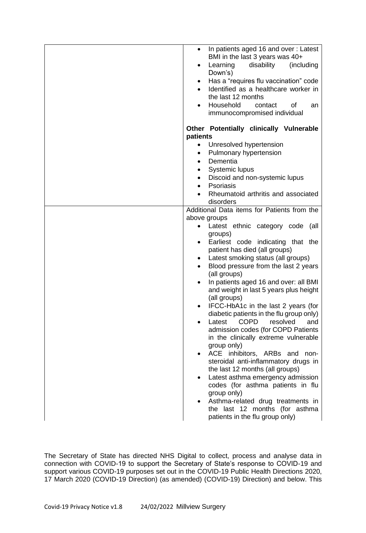| In patients aged 16 and over: Latest<br>$\bullet$<br>BMI in the last 3 years was 40+<br>Learning<br>disability<br>(including<br>$\bullet$<br>Down's) |
|------------------------------------------------------------------------------------------------------------------------------------------------------|
| Has a "requires flu vaccination" code<br>$\bullet$                                                                                                   |
| Identified as a healthcare worker in<br>$\bullet$<br>the last 12 months                                                                              |
| Household<br>0f<br>contact<br>an                                                                                                                     |
| immunocompromised individual                                                                                                                         |
| Other Potentially clinically Vulnerable<br>patients                                                                                                  |
| Unresolved hypertension<br>$\bullet$                                                                                                                 |
| Pulmonary hypertension<br>$\bullet$                                                                                                                  |
| Dementia<br>$\bullet$                                                                                                                                |
| Systemic lupus<br>$\bullet$                                                                                                                          |
| Discoid and non-systemic lupus<br>$\bullet$<br>Psoriasis                                                                                             |
| Rheumatoid arthritis and associated<br>disorders                                                                                                     |
| Additional Data items for Patients from the                                                                                                          |
| above groups                                                                                                                                         |
| Latest ethnic category code (all<br>$\bullet$<br>groups)                                                                                             |
| Earliest code indicating that the<br>patient has died (all groups)                                                                                   |
| Latest smoking status (all groups)<br>$\bullet$                                                                                                      |
| Blood pressure from the last 2 years<br>$\bullet$                                                                                                    |
| (all groups)                                                                                                                                         |
| In patients aged 16 and over: all BMI                                                                                                                |
| and weight in last 5 years plus height<br>(all groups)                                                                                               |
| IFCC-HbA1c in the last 2 years (for                                                                                                                  |
| diabetic patients in the flu group only)                                                                                                             |
| <b>COPD</b><br>resolved<br>Latest<br>and                                                                                                             |
| admission codes (for COPD Patients<br>in the clinically extreme vulnerable                                                                           |
| group only)                                                                                                                                          |
| ACE inhibitors, ARBs and non-<br>$\bullet$                                                                                                           |
| steroidal anti-inflammatory drugs in<br>the last 12 months (all groups)                                                                              |
| Latest asthma emergency admission                                                                                                                    |
| codes (for asthma patients in flu                                                                                                                    |
| group only)                                                                                                                                          |
| Asthma-related drug treatments in                                                                                                                    |
| the last 12 months (for asthma                                                                                                                       |
| patients in the flu group only)                                                                                                                      |

The Secretary of State has directed NHS Digital to collect, process and analyse data in connection with COVID-19 to support the Secretary of State's response to COVID-19 and support various COVID-19 purposes set out in the COVID-19 Public Health Directions 2020, 17 March 2020 (COVID-19 Direction) (as amended) (COVID-19) Direction) and below. This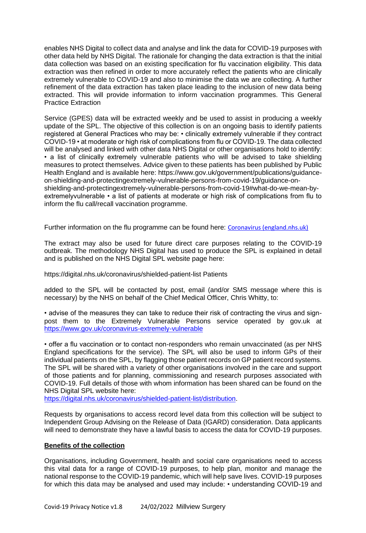enables NHS Digital to collect data and analyse and link the data for COVID-19 purposes with other data held by NHS Digital. The rationale for changing the data extraction is that the initial data collection was based on an existing specification for flu vaccination eligibility. This data extraction was then refined in order to more accurately reflect the patients who are clinically extremely vulnerable to COVID-19 and also to minimise the data we are collecting. A further refinement of the data extraction has taken place leading to the inclusion of new data being extracted. This will provide information to inform vaccination programmes. This General Practice Extraction

Service (GPES) data will be extracted weekly and be used to assist in producing a weekly update of the SPL. The objective of this collection is on an ongoing basis to identify patients registered at General Practices who may be: • clinically extremely vulnerable if they contract COVID-19 • at moderate or high risk of complications from flu or COVID-19. The data collected will be analysed and linked with other data NHS Digital or other organisations hold to identify: • a list of clinically extremely vulnerable patients who will be advised to take shielding measures to protect themselves. Advice given to these patients has been published by Public Health England and is available here: https://www.gov.uk/government/publications/guidanceon-shielding-and-protectingextremely-vulnerable-persons-from-covid-19/guidance-onshielding-and-protectingextremely-vulnerable-persons-from-covid-19#what-do-we-mean-byextremelyvulnerable • a list of patients at moderate or high risk of complications from flu to inform the flu call/recall vaccination programme.

Further information on the flu programme can be found here: [Coronavirus \(england.nhs.uk\)](https://www.england.nhs.uk/coronavirus/)

The extract may also be used for future direct care purposes relating to the COVID-19 outbreak. The methodology NHS Digital has used to produce the SPL is explained in detail and is published on the NHS Digital SPL website page here:

https://digital.nhs.uk/coronavirus/shielded-patient-list Patients

added to the SPL will be contacted by post, email (and/or SMS message where this is necessary) by the NHS on behalf of the Chief Medical Officer, Chris Whitty, to:

• advise of the measures they can take to reduce their risk of contracting the virus and signpost them to the Extremely Vulnerable Persons service operated by gov.uk at <https://www.gov.uk/coronavirus-extremely-vulnerable>

• offer a flu vaccination or to contact non-responders who remain unvaccinated (as per NHS England specifications for the service). The SPL will also be used to inform GPs of their individual patients on the SPL, by flagging those patient records on GP patient record systems. The SPL will be shared with a variety of other organisations involved in the care and support of those patients and for planning, commissioning and research purposes associated with COVID-19. Full details of those with whom information has been shared can be found on the NHS Digital SPL website here:

[https://digital.nhs.uk/coronavirus/shielded-patient-list/distribution.](https://digital.nhs.uk/coronavirus/shielded-patient-list/distribution)

Requests by organisations to access record level data from this collection will be subject to Independent Group Advising on the Release of Data (IGARD) consideration. Data applicants will need to demonstrate they have a lawful basis to access the data for COVID-19 purposes.

#### **Benefits of the collection**

Organisations, including Government, health and social care organisations need to access this vital data for a range of COVID-19 purposes, to help plan, monitor and manage the national response to the COVID-19 pandemic, which will help save lives. COVID-19 purposes for which this data may be analysed and used may include: • understanding COVID-19 and